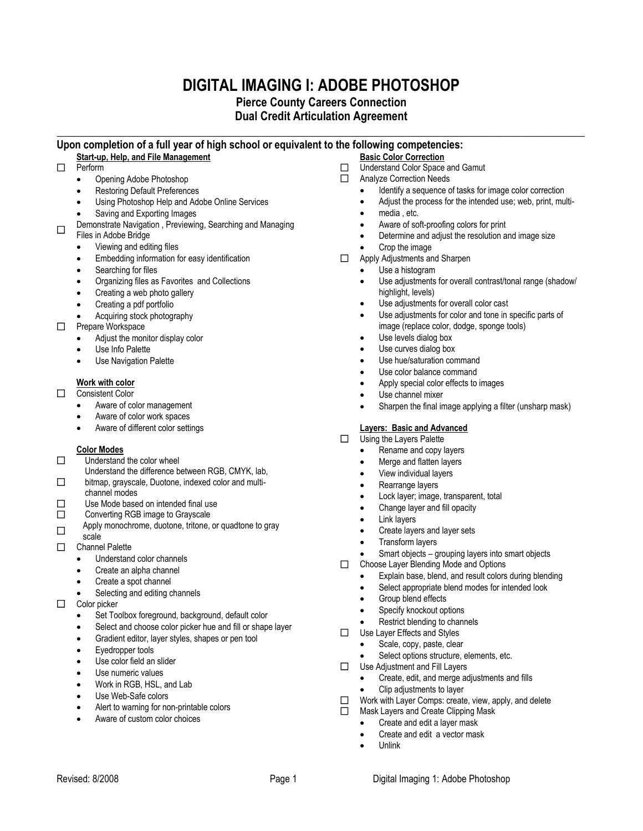# **DIGITAL IMAGING I: ADOBE PHOTOSHOP**

## **Pierce County Careers Connection Dual Credit Articulation Agreement**

## **\_\_\_\_\_\_\_\_\_\_\_\_\_\_\_\_\_\_\_\_\_\_\_\_\_\_\_\_\_\_\_\_\_\_\_\_\_\_\_\_\_\_\_\_\_\_\_\_\_\_\_\_\_\_\_\_\_\_\_\_\_\_\_\_\_\_\_\_\_\_\_\_\_\_\_\_\_\_\_\_\_\_\_\_\_\_\_\_\_\_\_\_ Upon completion of a full year of high school or equivalent to the following competencies:**

## **Start-up, Help, and File Management**

- □ Perform
	- Opening Adobe Photoshop
	- Restoring Default Preferences
	- Using Photoshop Help and Adobe Online Services
	- Saving and Exporting Images
- П Demonstrate Navigation , Previewing, Searching and Managing
- Files in Adobe Bridge
	- Viewing and editing files
	- Embedding information for easy identification
	- Searching for files
	- Organizing files as Favorites and Collections
	- Creating a web photo gallery
	- Creating a pdf portfolio
	- Acquiring stock photography
- **D** Prepare Workspace
	- Adjust the monitor display color
	- Use Info Palette
	- Use Navigation Palette

## **Work with color**

- Consistent Color
	- Aware of color management
	- Aware of color work spaces
	- Aware of different color settings

## **Color Modes**

- $\Box$  Understand the color wheel
	- Understand the difference between RGB, CMYK, lab,
- $\Box$ bitmap, grayscale, Duotone, indexed color and multichannel modes
- $\Box$  Use Mode based on intended final use
- $\Box$  Converting RGB image to Grayscale
	- Apply monochrome, duotone, tritone, or quadtone to gray
- $\Box$
- scale Channel Palette
	- Understand color channels
	- Create an alpha channel
	- Create a spot channel
	- Selecting and editing channels
- $\Box$  Color picker
	- Set Toolbox foreground, background, default color
	- Select and choose color picker hue and fill or shape layer

Revised: 8/2008 **Page 1** Page 1 **Page 1 Page 1 Page 1 Page 1 Page 1 Page 1 Page 1 Page 1 Page 1 Page 1 Page 1 Page 1 Page 1 Page 1 Page 1 Page 1 Page 1 Page 1 Page 1 Page 1 Page 1**

- Gradient editor, layer styles, shapes or pen tool
- Eyedropper tools
- Use color field an slider
- Use numeric values
- Work in RGB, HSL, and Lab
- Use Web-Safe colors
- Alert to warning for non-printable colors
- Aware of custom color choices

## **Basic Color Correction**

- □ Understand Color Space and Gamut
- Analyze Correction Needs
	- Identify a sequence of tasks for image color correction
	- Adjust the process for the intended use; web, print, multi-
	- media , etc.
	- Aware of soft-proofing colors for print
	- Determine and adjust the resolution and image size
	- Crop the image
- Apply Adjustments and Sharpen
	- Use a histogram
		- Use adjustments for overall contrast/tonal range (shadow/ highlight, levels)
		- Use adjustments for overall color cast
		- Use adjustments for color and tone in specific parts of image (replace color, dodge, sponge tools)
	- Use levels dialog box
	- Use curves dialog box
	- Use hue/saturation command
	- Use color balance command
	- Apply special color effects to images
	- Use channel mixer
	- Sharpen the final image applying a filter (unsharp mask)

## **Layers: Basic and Advanced**

- □ Using the Layers Palette
	- Rename and copy layers
	- Merge and flatten layers
	- View individual layers
	- Rearrange layers
	- Lock layer; image, transparent, total
	- Change layer and fill opacity
	- Link layers
	- Create layers and layer sets
	- Transform layers
	- Smart objects grouping layers into smart objects
- Choose Layer Blending Mode and Options
	- Explain base, blend, and result colors during blending
	- Select appropriate blend modes for intended look
	- Group blend effects
	- Specify knockout options
	- Restrict blending to channels
- □ Use Layer Effects and Styles
	- Scale, copy, paste, clear
	- Select options structure, elements, etc.
- □ Use Adjustment and Fill Layers
	- Create, edit, and merge adjustments and fills
	- Clip adjustments to layer
- □ Work with Layer Comps: create, view, apply, and delete
- $\Box$  Mask Layers and Create Clipping Mask
	- Create and edit a layer mask
	- Create and edit a vector mask Unlink